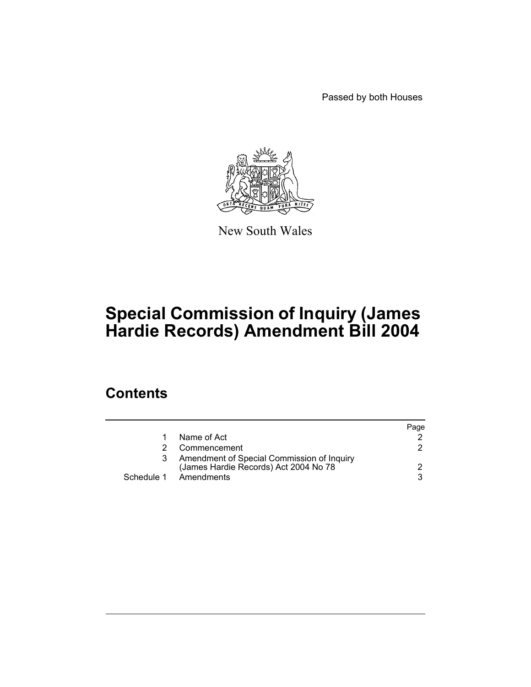Passed by both Houses



New South Wales

# **Special Commission of Inquiry (James Hardie Records) Amendment Bill 2004**

## **Contents**

|                                                                                     | Page |
|-------------------------------------------------------------------------------------|------|
| Name of Act                                                                         |      |
| Commencement                                                                        |      |
| Amendment of Special Commission of Inquiry<br>(James Hardie Records) Act 2004 No 78 |      |
| Schedule 1 Amendments                                                               | વ    |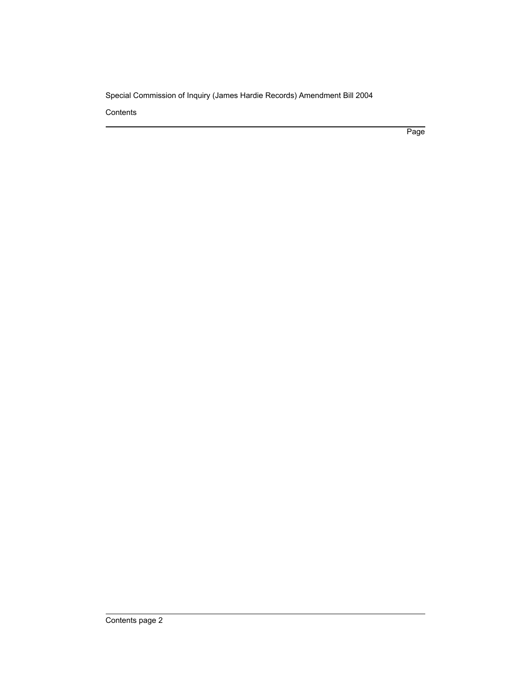Special Commission of Inquiry (James Hardie Records) Amendment Bill 2004

**Contents** 

Page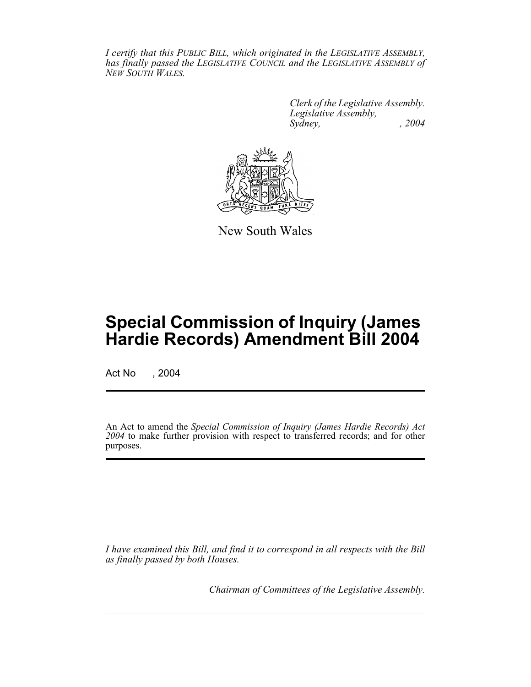*I certify that this PUBLIC BILL, which originated in the LEGISLATIVE ASSEMBLY, has finally passed the LEGISLATIVE COUNCIL and the LEGISLATIVE ASSEMBLY of NEW SOUTH WALES.*

> *Clerk of the Legislative Assembly. Legislative Assembly, Sydney, , 2004*



New South Wales

# **Special Commission of Inquiry (James Hardie Records) Amendment Bill 2004**

Act No , 2004

An Act to amend the *Special Commission of Inquiry (James Hardie Records) Act 2004* to make further provision with respect to transferred records; and for other purposes.

*I have examined this Bill, and find it to correspond in all respects with the Bill as finally passed by both Houses.*

*Chairman of Committees of the Legislative Assembly.*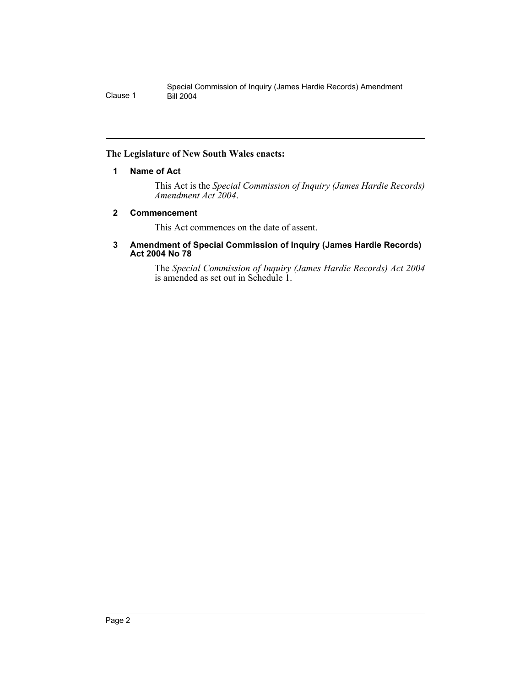Special Commission of Inquiry (James Hardie Records) Amendment Clause 1 Bill 2004

#### **The Legislature of New South Wales enacts:**

#### **1 Name of Act**

This Act is the *Special Commission of Inquiry (James Hardie Records) Amendment Act 2004*.

#### **2 Commencement**

This Act commences on the date of assent.

#### **3 Amendment of Special Commission of Inquiry (James Hardie Records) Act 2004 No 78**

The *Special Commission of Inquiry (James Hardie Records) Act 2004* is amended as set out in Schedule 1.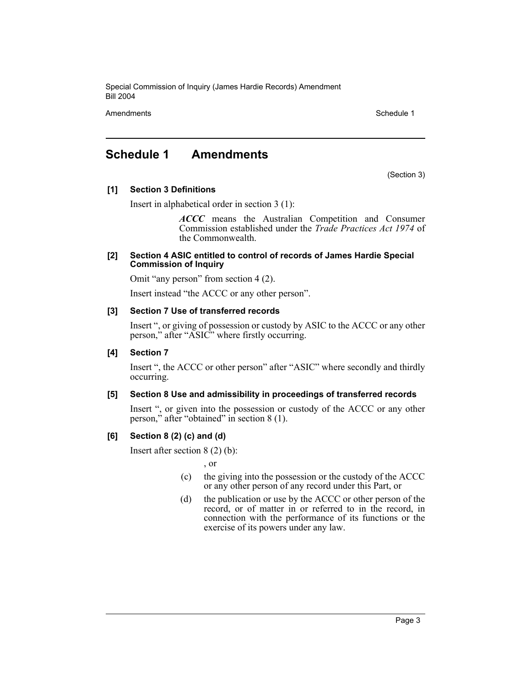Special Commission of Inquiry (James Hardie Records) Amendment Bill 2004

Amendments **Schedule 1** and the 1990 state 1 and 1990 state 1 and 1990 state 1 and 1990 state 1 and 1990 state 1

### **Schedule 1 Amendments**

(Section 3)

#### **[1] Section 3 Definitions**

Insert in alphabetical order in section 3 (1):

*ACCC* means the Australian Competition and Consumer Commission established under the *Trade Practices Act 1974* of the Commonwealth.

#### **[2] Section 4 ASIC entitled to control of records of James Hardie Special Commission of Inquiry**

Omit "any person" from section 4 (2).

Insert instead "the ACCC or any other person".

#### **[3] Section 7 Use of transferred records**

Insert ", or giving of possession or custody by ASIC to the ACCC or any other person," after "ASIC" where firstly occurring.

#### **[4] Section 7**

Insert ", the ACCC or other person" after "ASIC" where secondly and thirdly occurring.

#### **[5] Section 8 Use and admissibility in proceedings of transferred records**

Insert ", or given into the possession or custody of the ACCC or any other person," after "obtained" in section 8 (1).

#### **[6] Section 8 (2) (c) and (d)**

Insert after section 8 (2) (b):

, or

- (c) the giving into the possession or the custody of the ACCC or any other person of any record under this Part, or
- (d) the publication or use by the ACCC or other person of the record, or of matter in or referred to in the record, in connection with the performance of its functions or the exercise of its powers under any law.